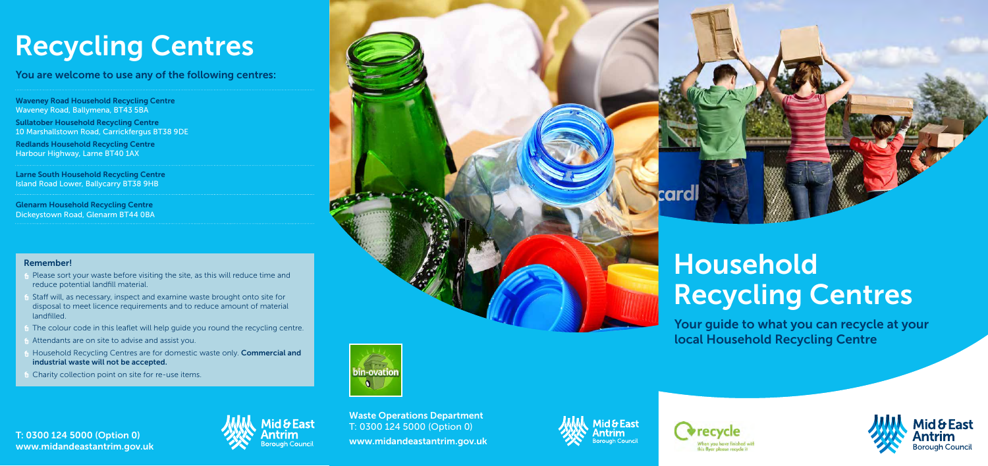Your guide to what you can recycle at your local Household Recycling Centre





card



# Recycling Centres<br>You are welcome to use any of the following centres:

Waveney Road Household Recycling Centre Waveney Road, Ballymena, BT43 5BA

Sullatober Household Recycling Centre 10 Marshallstown Road, Carrickfergus BT38 9DE

Redlands Household Recycling Centre Harbour Highway, Larne BT40 1AX

T: 0300 124 5000 (Option 0) www.midandeastantrim.gov.uk



Larne South Household Recycling Centre Island Road Lower, Ballycarry BT38 9HB

Glenarm Household Recycling Centre Dickeystown Road, Glenarm BT44 0BA

> Waste Operations Department T: 0300 124 5000 (Option 0) www.midandeastantrim.gov.uk

## Household Recycling Centres

#### Remember!

- Please sort your waste before visiting the site, as this will reduce time and reduce potential landfill material.
- Staff will, as necessary, inspect and examine waste brought onto site for disposal to meet licence requirements and to reduce amount of material landfilled.
- The colour code in this leaflet will help guide you round the recycling centre.
- Attendants are on site to advise and assist you.
- Household Recycling Centres are for domestic waste only. Commercial and industrial waste will not be accepted.
- Charity collection point on site for re-use items.